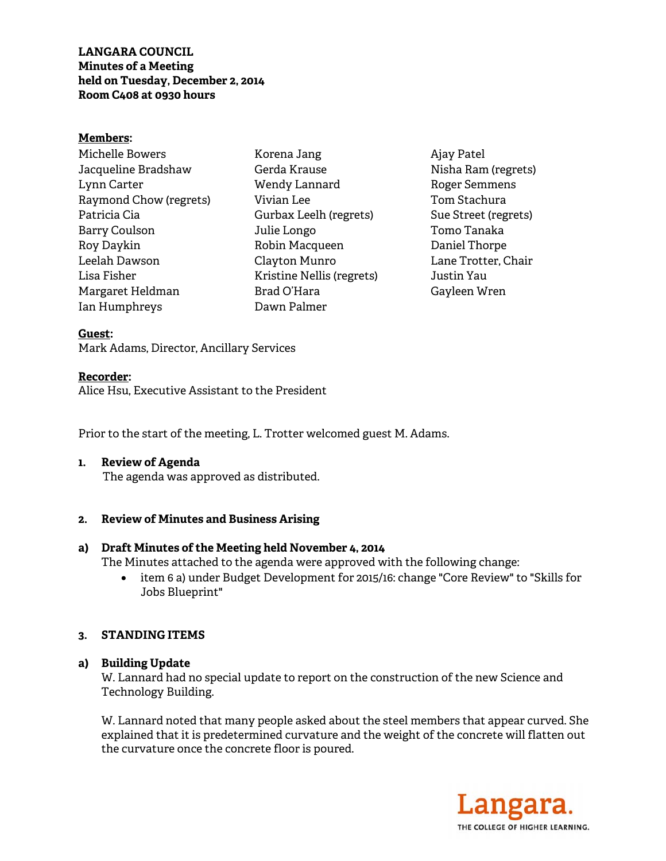**LANGARA COUNCIL Minutes of a Meeting held on Tuesday, December 2, 2014 Room C408 at 0930 hours** 

#### **Members:**

Michelle Bowers Jacqueline Bradshaw Lynn Carter Raymond Chow (regrets) Patricia Cia Barry Coulson Roy Daykin Leelah Dawson Lisa Fisher Margaret Heldman Ian Humphreys

Korena Jang Gerda Krause Wendy Lannard Vivian Lee Gurbax Leelh (regrets) Julie Longo Robin Macqueen Clayton Munro Kristine Nellis (regrets) Brad O'Hara Dawn Palmer

Ajay Patel Nisha Ram (regrets) Roger Semmens Tom Stachura Sue Street (regrets) Tomo Tanaka Daniel Thorpe Lane Trotter, Chair Justin Yau Gayleen Wren

### **Guest:**

Mark Adams, Director, Ancillary Services

#### **Recorder:**

Alice Hsu, Executive Assistant to the President

Prior to the start of the meeting, L. Trotter welcomed guest M. Adams.

### **1. Review of Agenda**

The agenda was approved as distributed.

### **2. Review of Minutes and Business Arising**

### **a) Draft Minutes of the Meeting held November 4, 2014**

The Minutes attached to the agenda were approved with the following change:

• item 6 a) under Budget Development for 2015/16: change "Core Review" to "Skills for Jobs Blueprint"

### **3. STANDING ITEMS**

### **a) Building Update**

W. Lannard had no special update to report on the construction of the new Science and Technology Building.

W. Lannard noted that many people asked about the steel members that appear curved. She explained that it is predetermined curvature and the weight of the concrete will flatten out the curvature once the concrete floor is poured.

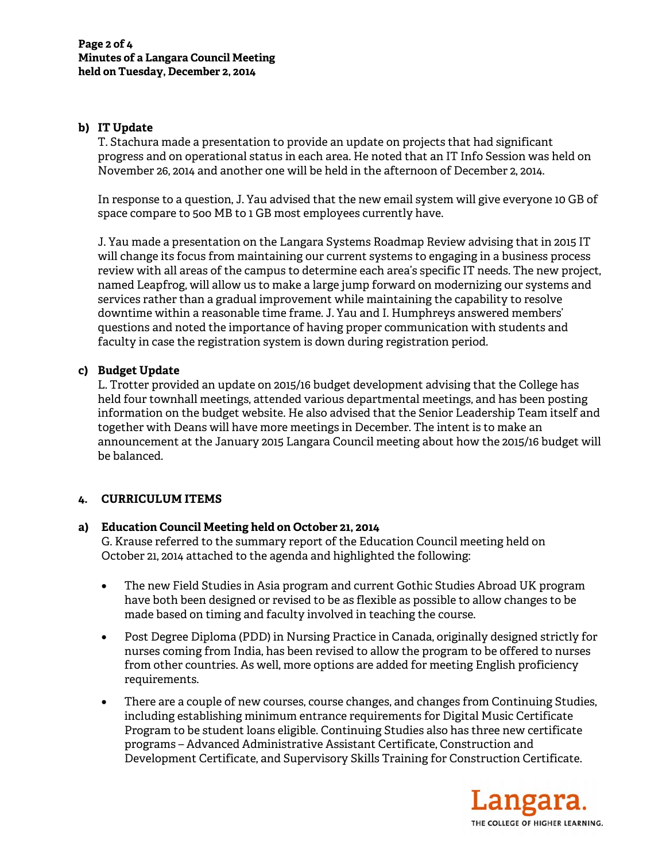# **b) IT Update**

T. Stachura made a presentation to provide an update on projects that had significant progress and on operational status in each area. He noted that an IT Info Session was held on November 26, 2014 and another one will be held in the afternoon of December 2, 2014.

In response to a question, J. Yau advised that the new email system will give everyone 10 GB of space compare to 5oo MB to 1 GB most employees currently have.

J. Yau made a presentation on the Langara Systems Roadmap Review advising that in 2015 IT will change its focus from maintaining our current systems to engaging in a business process review with all areas of the campus to determine each area's specific IT needs. The new project, named Leapfrog, will allow us to make a large jump forward on modernizing our systems and services rather than a gradual improvement while maintaining the capability to resolve downtime within a reasonable time frame. J. Yau and I. Humphreys answered members' questions and noted the importance of having proper communication with students and faculty in case the registration system is down during registration period.

# **c) Budget Update**

L. Trotter provided an update on 2015/16 budget development advising that the College has held four townhall meetings, attended various departmental meetings, and has been posting information on the budget website. He also advised that the Senior Leadership Team itself and together with Deans will have more meetings in December. The intent is to make an announcement at the January 2015 Langara Council meeting about how the 2015/16 budget will be balanced.

# **4. CURRICULUM ITEMS**

### **a) Education Council Meeting held on October 21, 2014**

G. Krause referred to the summary report of the Education Council meeting held on October 21, 2014 attached to the agenda and highlighted the following:

- The new Field Studies in Asia program and current Gothic Studies Abroad UK program have both been designed or revised to be as flexible as possible to allow changes to be made based on timing and faculty involved in teaching the course.
- Post Degree Diploma (PDD) in Nursing Practice in Canada, originally designed strictly for nurses coming from India, has been revised to allow the program to be offered to nurses from other countries. As well, more options are added for meeting English proficiency requirements.
- There are a couple of new courses, course changes, and changes from Continuing Studies, including establishing minimum entrance requirements for Digital Music Certificate Program to be student loans eligible. Continuing Studies also has three new certificate programs – Advanced Administrative Assistant Certificate, Construction and Development Certificate, and Supervisory Skills Training for Construction Certificate.

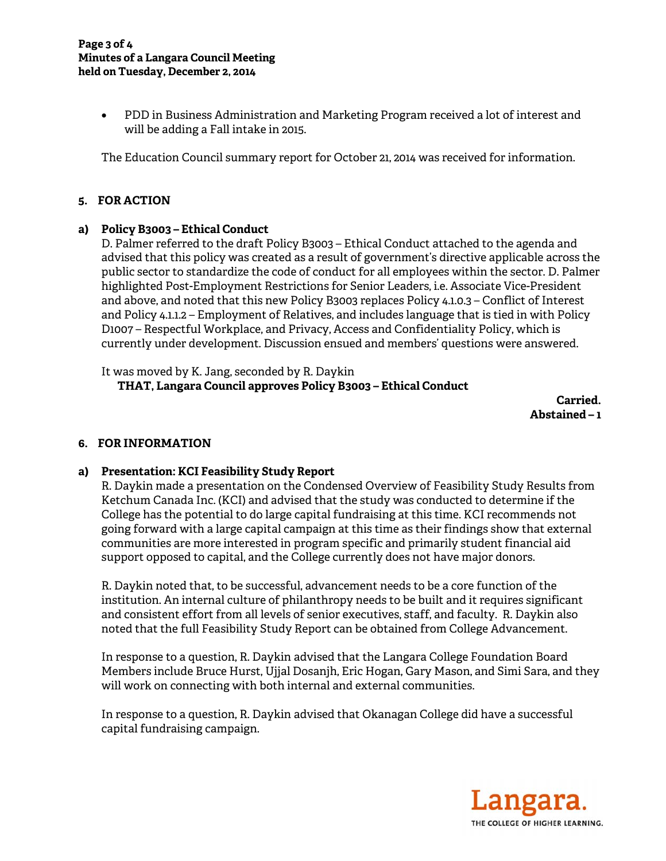• PDD in Business Administration and Marketing Program received a lot of interest and will be adding a Fall intake in 2015.

The Education Council summary report for October 21, 2014 was received for information.

# **5. FOR ACTION**

### **a) Policy B3003 – Ethical Conduct**

D. Palmer referred to the draft Policy B3003 – Ethical Conduct attached to the agenda and advised that this policy was created as a result of government's directive applicable across the public sector to standardize the code of conduct for all employees within the sector. D. Palmer highlighted Post-Employment Restrictions for Senior Leaders, i.e. Associate Vice-President and above, and noted that this new Policy B3003 replaces Policy 4.1.0.3 – Conflict of Interest and Policy 4.1.1.2 – Employment of Relatives, and includes language that is tied in with Policy D1007 – Respectful Workplace, and Privacy, Access and Confidentiality Policy, which is currently under development. Discussion ensued and members' questions were answered.

It was moved by K. Jang, seconded by R. Daykin  **THAT, Langara Council approves Policy B3003 – Ethical Conduct** 

 **Carried.**  $\blacksquare$  **Abstained – 1** 

# **6. FOR INFORMATION**

### **a) Presentation: KCI Feasibility Study Report**

R. Daykin made a presentation on the Condensed Overview of Feasibility Study Results from Ketchum Canada Inc. (KCI) and advised that the study was conducted to determine if the College has the potential to do large capital fundraising at this time. KCI recommends not going forward with a large capital campaign at this time as their findings show that external communities are more interested in program specific and primarily student financial aid support opposed to capital, and the College currently does not have major donors.

R. Daykin noted that, to be successful, advancement needs to be a core function of the institution. An internal culture of philanthropy needs to be built and it requires significant and consistent effort from all levels of senior executives, staff, and faculty. R. Daykin also noted that the full Feasibility Study Report can be obtained from College Advancement.

In response to a question, R. Daykin advised that the Langara College Foundation Board Members include Bruce Hurst, Ujjal Dosanjh, Eric Hogan, Gary Mason, and Simi Sara, and they will work on connecting with both internal and external communities.

In response to a question, R. Daykin advised that Okanagan College did have a successful capital fundraising campaign.